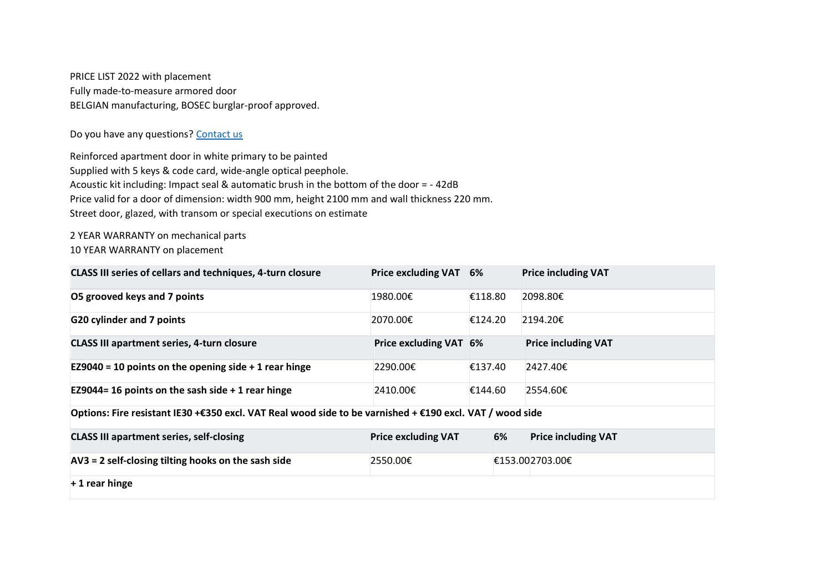PRICE LIST 2022 with placement Fully made-to-measure armored door BELGIAN manufacturing, BOSEC burglar-proof approved.

Do you have any questions? [Contact us](https://localhost:44381/en/contact)

Reinforced apartment door in white primary to be painted Supplied with 5 keys & code card, wide-angle optical peephole. Acoustic kit including: Impact seal & automatic brush in the bottom of the door = - 42dB Price valid for a door of dimension: width 900 mm, height 2100 mm and wall thickness 220 mm. Street door, glazed, with transom or special executions on estimate

2 YEAR WARRANTY on mechanical parts 10 YEAR WARRANTY on placement

| <b>CLASS III series of cellars and techniques, 4-turn closure</b>                                        | <b>Price excluding VAT</b> | 6%      | <b>Price including VAT</b> |  |  |  |  |
|----------------------------------------------------------------------------------------------------------|----------------------------|---------|----------------------------|--|--|--|--|
| O5 grooved keys and 7 points                                                                             | 1980.00€                   | €118.80 | 2098.80€                   |  |  |  |  |
| <b>G20 cylinder and 7 points</b>                                                                         | 2070.00€                   | €124.20 | 2194.20€                   |  |  |  |  |
| <b>CLASS III apartment series, 4-turn closure</b>                                                        | Price excluding VAT 6%     |         | <b>Price including VAT</b> |  |  |  |  |
| EZ9040 = 10 points on the opening side $+$ 1 rear hinge                                                  | 2290.00€                   | €137.40 | 2427.40€                   |  |  |  |  |
| EZ9044= 16 points on the sash side $+$ 1 rear hinge                                                      | 2410.00€                   | €144.60 | 2554.60€                   |  |  |  |  |
| Options: Fire resistant IE30 +€350 excl. VAT Real wood side to be varnished + €190 excl. VAT / wood side |                            |         |                            |  |  |  |  |
| <b>CLASS III apartment series, self-closing</b>                                                          | <b>Price excluding VAT</b> | 6%      | <b>Price including VAT</b> |  |  |  |  |
| AV3 = 2 self-closing tilting hooks on the sash side                                                      | 2550.00€                   |         | €153.002703.00€            |  |  |  |  |
| $+1$ rear hinge                                                                                          |                            |         |                            |  |  |  |  |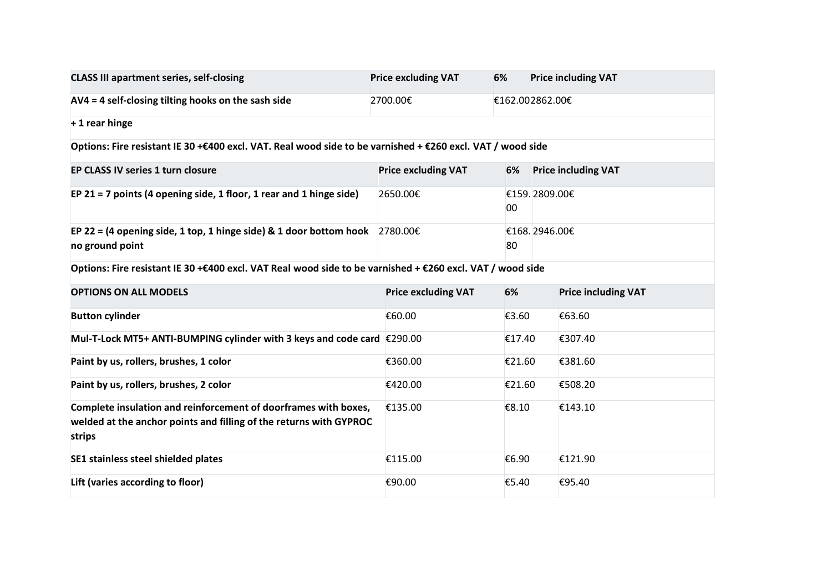| <b>CLASS III apartment series, self-closing</b>                                                                                                 | <b>Price excluding VAT</b> | 6%              | <b>Price including VAT</b> |                            |  |  |  |  |
|-------------------------------------------------------------------------------------------------------------------------------------------------|----------------------------|-----------------|----------------------------|----------------------------|--|--|--|--|
| AV4 = 4 self-closing tilting hooks on the sash side                                                                                             | 2700.00€                   | €162.002862.00€ |                            |                            |  |  |  |  |
| $+1$ rear hinge                                                                                                                                 |                            |                 |                            |                            |  |  |  |  |
| Options: Fire resistant IE 30 +€400 excl. VAT. Real wood side to be varnished + €260 excl. VAT / wood side                                      |                            |                 |                            |                            |  |  |  |  |
| EP CLASS IV series 1 turn closure                                                                                                               | <b>Price excluding VAT</b> | 6%              |                            | <b>Price including VAT</b> |  |  |  |  |
| EP 21 = 7 points (4 opening side, 1 floor, 1 rear and 1 hinge side)                                                                             | 2650.00€                   | 00              | €159.2809.00€              |                            |  |  |  |  |
| EP 22 = (4 opening side, 1 top, 1 hinge side) & 1 door bottom hook $2780.00 \in$<br>no ground point                                             |                            | 80              |                            | €168.2946.00€              |  |  |  |  |
| Options: Fire resistant IE 30 +€400 excl. VAT Real wood side to be varnished + €260 excl. VAT / wood side                                       |                            |                 |                            |                            |  |  |  |  |
| <b>OPTIONS ON ALL MODELS</b>                                                                                                                    | <b>Price excluding VAT</b> | 6%              |                            | <b>Price including VAT</b> |  |  |  |  |
| <b>Button cylinder</b>                                                                                                                          | €60.00                     | €3.60           |                            | €63.60                     |  |  |  |  |
| Mul-T-Lock MT5+ ANTI-BUMPING cylinder with 3 keys and code card $\epsilon$ 290.00                                                               |                            | €17.40          |                            | €307.40                    |  |  |  |  |
| Paint by us, rollers, brushes, 1 color                                                                                                          | €360.00                    | €21.60          |                            | €381.60                    |  |  |  |  |
| Paint by us, rollers, brushes, 2 color                                                                                                          | €420.00                    | €21.60          |                            | €508.20                    |  |  |  |  |
| Complete insulation and reinforcement of doorframes with boxes,<br>welded at the anchor points and filling of the returns with GYPROC<br>strips | €135.00                    | €8.10           |                            | €143.10                    |  |  |  |  |
| SE1 stainless steel shielded plates                                                                                                             | €115.00                    | €6.90           |                            | €121.90                    |  |  |  |  |
| Lift (varies according to floor)                                                                                                                | €90.00                     | €5.40           |                            | €95.40                     |  |  |  |  |